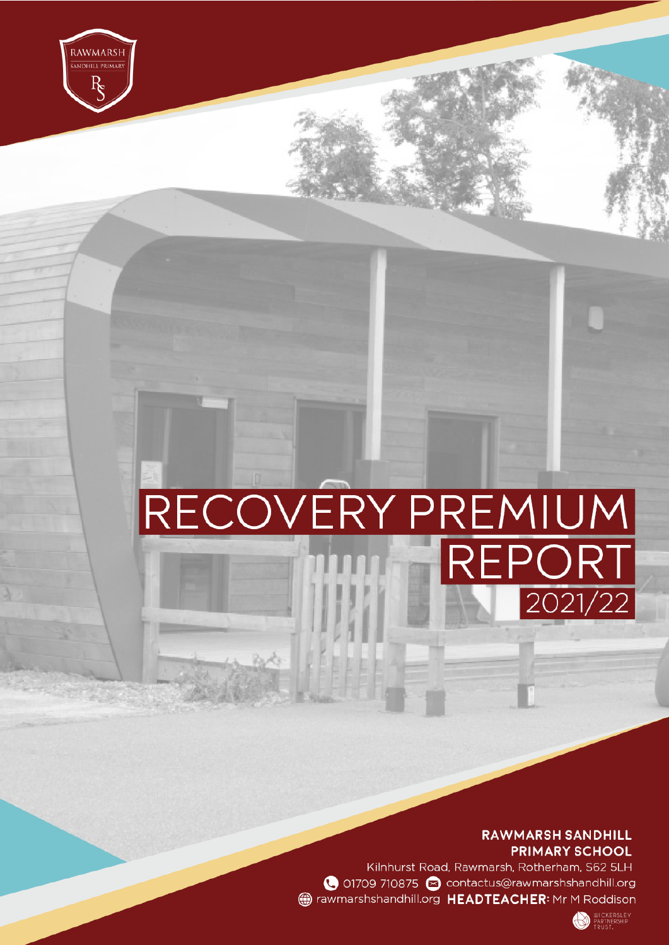**RAWMARSH SANDHILL PRIMARY SCHOOL** 

Kilnhurst Road, Rawmarsh, Rotherham, S62 5LH ● 01709 710875 ● contactus@rawmarshshandhill.org mericial rawmarshshandhill.org HEADTEACHER: Mr M Roddison

RECOVERY PREMIUM<br>REPORT

RAWMARSH

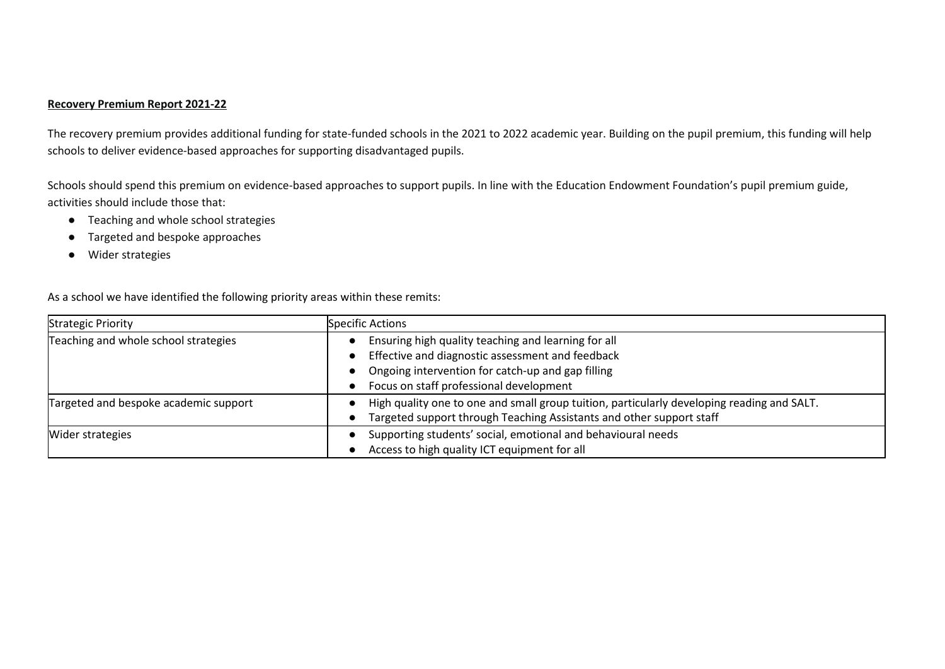## **Recovery Premium Report 2021-22**

The recovery premium provides additional funding for state-funded schools in the 2021 to 2022 academic year. Building on the pupil premium, this funding will help schools to deliver evidence-based approaches for supporting disadvantaged pupils.

Schools should spend this premium on evidence-based approaches to support pupils. In line with the Education Endowment Foundation's pupil premium guide, activities should include those that:

- Teaching and whole school strategies
- Targeted and bespoke approaches
- Wider strategies

As a school we have identified the following priority areas within these remits:

| <b>Strategic Priority</b>             | <b>Specific Actions</b>                                                                                                                                                                                 |
|---------------------------------------|---------------------------------------------------------------------------------------------------------------------------------------------------------------------------------------------------------|
| Teaching and whole school strategies  | Ensuring high quality teaching and learning for all<br>Effective and diagnostic assessment and feedback<br>Ongoing intervention for catch-up and gap filling<br>Focus on staff professional development |
| Targeted and bespoke academic support | High quality one to one and small group tuition, particularly developing reading and SALT.<br>Targeted support through Teaching Assistants and other support staff                                      |
| Wider strategies                      | Supporting students' social, emotional and behavioural needs<br>Access to high quality ICT equipment for all                                                                                            |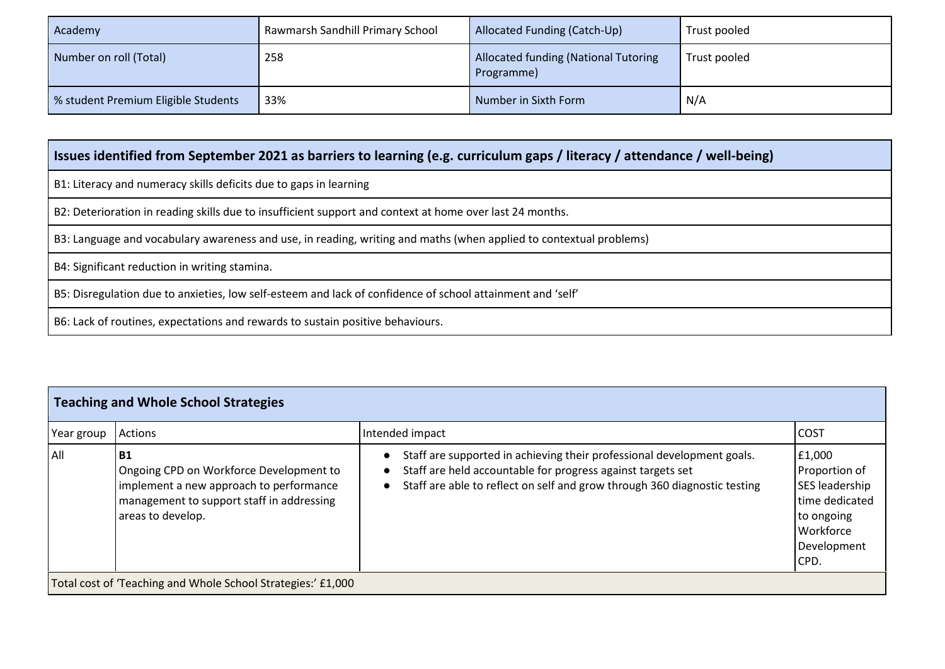| Academy                             | Rawmarsh Sandhill Primary School | Allocated Funding (Catch-Up)                              | Trust pooled |
|-------------------------------------|----------------------------------|-----------------------------------------------------------|--------------|
| Number on roll (Total)              | 258                              | <b>Allocated funding (National Tutoring</b><br>Programme) | Trust pooled |
| % student Premium Eligible Students | 33%                              | Number in Sixth Form                                      | N/A          |

## **Issues identified from September 2021 as barriers to learning (e.g. curriculum gaps / literacy / attendance / well-being)**

B1: Literacy and numeracy skills deficits due to gaps in learning

B2: Deterioration in reading skills due to insufficient support and context at home over last 24 months.

B3: Language and vocabulary awareness and use, in reading, writing and maths (when applied to contextual problems)

B4: Significant reduction in writing stamina.

B5: Disregulation due to anxieties, low self-esteem and lack of confidence of school attainment and 'self'

B6: Lack of routines, expectations and rewards to sustain positive behaviours.

| <b>Teaching and Whole School Strategies</b> |                                                                                                                                                                   |                                                                                                                                                                                                                    |                                                                                                               |  |
|---------------------------------------------|-------------------------------------------------------------------------------------------------------------------------------------------------------------------|--------------------------------------------------------------------------------------------------------------------------------------------------------------------------------------------------------------------|---------------------------------------------------------------------------------------------------------------|--|
| Year group                                  | Actions                                                                                                                                                           | Intended impact                                                                                                                                                                                                    | <b>COST</b>                                                                                                   |  |
| All                                         | <b>B1</b><br>Ongoing CPD on Workforce Development to<br>implement a new approach to performance<br>management to support staff in addressing<br>areas to develop. | Staff are supported in achieving their professional development goals.<br>Staff are held accountable for progress against targets set<br>Staff are able to reflect on self and grow through 360 diagnostic testing | E1,000<br>Proportion of<br>SES leadership<br>time dedicated<br>to ongoing<br>Workforce<br>Development<br>CPD. |  |
|                                             | Total cost of 'Teaching and Whole School Strategies:' £1,000                                                                                                      |                                                                                                                                                                                                                    |                                                                                                               |  |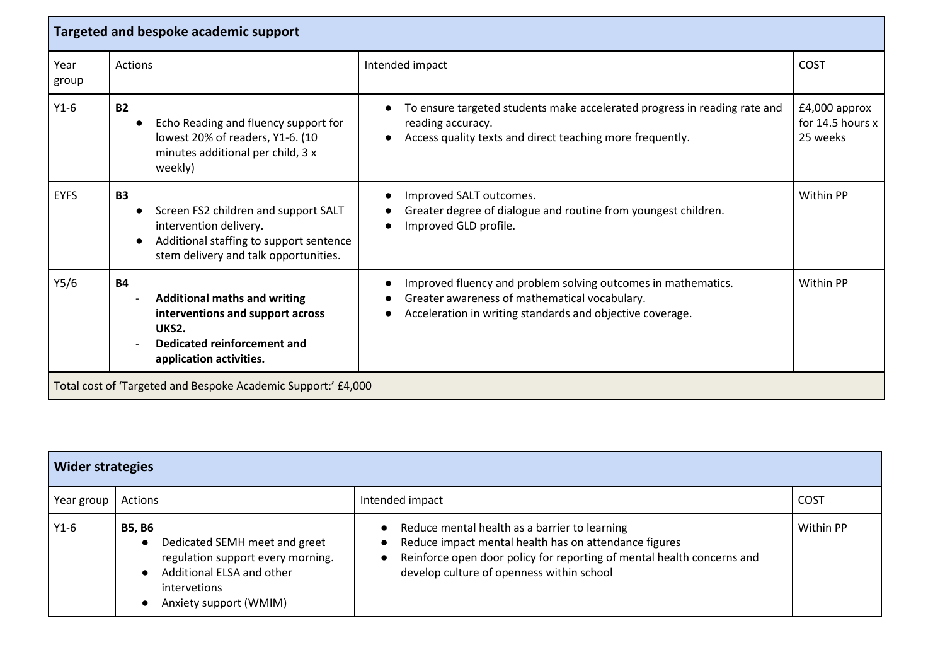| Targeted and bespoke academic support                         |                                                                                                                                                                 |                                                                                                                                                                             |                                                 |
|---------------------------------------------------------------|-----------------------------------------------------------------------------------------------------------------------------------------------------------------|-----------------------------------------------------------------------------------------------------------------------------------------------------------------------------|-------------------------------------------------|
| Year<br>group                                                 | Actions                                                                                                                                                         | Intended impact                                                                                                                                                             | <b>COST</b>                                     |
| $Y1-6$                                                        | <b>B2</b><br>Echo Reading and fluency support for<br>lowest 20% of readers, Y1-6. (10<br>minutes additional per child, 3 x<br>weekly)                           | To ensure targeted students make accelerated progress in reading rate and<br>reading accuracy.<br>Access quality texts and direct teaching more frequently.                 | $£4,000$ approx<br>for 14.5 hours x<br>25 weeks |
| <b>EYFS</b>                                                   | <b>B3</b><br>Screen FS2 children and support SALT<br>intervention delivery.<br>Additional staffing to support sentence<br>stem delivery and talk opportunities. | Improved SALT outcomes.<br>Greater degree of dialogue and routine from youngest children.<br>Improved GLD profile.                                                          | Within PP                                       |
| Y5/6                                                          | <b>B4</b><br><b>Additional maths and writing</b><br>interventions and support across<br>UKS2.<br>Dedicated reinforcement and<br>application activities.         | Improved fluency and problem solving outcomes in mathematics.<br>Greater awareness of mathematical vocabulary.<br>Acceleration in writing standards and objective coverage. | Within PP                                       |
| Total cost of 'Targeted and Bespoke Academic Support:' £4,000 |                                                                                                                                                                 |                                                                                                                                                                             |                                                 |

| <b>Wider strategies</b> |                                                                                                                                                                                      |                                                                                                                                                                                                                               |             |
|-------------------------|--------------------------------------------------------------------------------------------------------------------------------------------------------------------------------------|-------------------------------------------------------------------------------------------------------------------------------------------------------------------------------------------------------------------------------|-------------|
| Year group              | Actions                                                                                                                                                                              | Intended impact                                                                                                                                                                                                               | <b>COST</b> |
| $Y1-6$                  | <b>B5, B6</b><br>Dedicated SEMH meet and greet<br>$\bullet$<br>regulation support every morning.<br>Additional ELSA and other<br>intervetions<br>Anxiety support (WMIM)<br>$\bullet$ | Reduce mental health as a barrier to learning<br>Reduce impact mental health has on attendance figures<br>Reinforce open door policy for reporting of mental health concerns and<br>develop culture of openness within school | Within PP   |